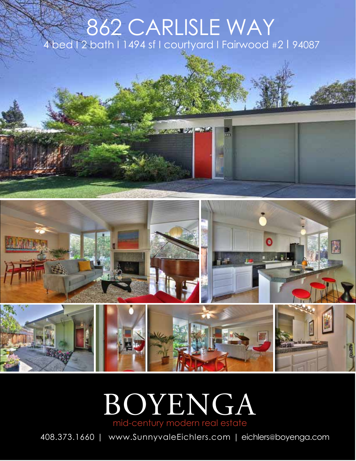## 862 CARLISLE WAY bed I 2 bath I 1494 sf I courtyard I Fairwood #2 | 94087





408.373.1660 | www.SunnyvaleEichlers.com | eichlers@boyenga.com